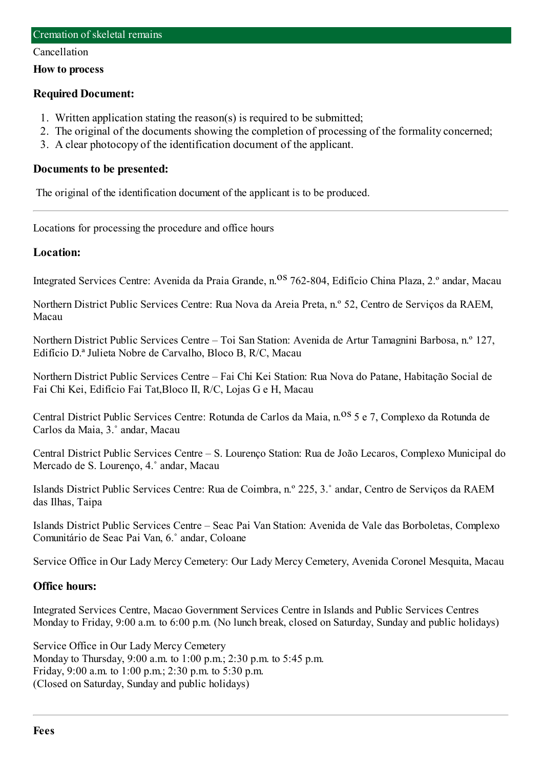#### Cancellation

#### **How to process**

### **Required Document:**

- 1. Written application stating the reason(s) is required to be submitted;
- 2. The original of the documents showing the completion of processing of the formality concerned;
- 3. A clear photocopy of the identification document of the applicant.

#### **Documents to be presented:**

The original of the identification document of the applicant is to be produced.

Locations for processing the procedure and office hours

### **Location:**

Integrated Services Centre: Avenida da Praia Grande, n.<sup>08</sup> 762-804, Edifício China Plaza, 2.º andar, Macau

Northern District Public Services Centre: Rua Nova da Areia Preta, n.º 52, Centro de Serviços da RAEM, Macau

Northern District Public Services Centre – Toi San Station: Avenida de Artur Tamagnini Barbosa, n.º 127, Edifício D.ª Julieta Nobre de Carvalho, Bloco B, R/C, Macau

Northern District Public Services Centre – Fai Chi Kei Station: Rua Nova do Patane, Habitação Social de Fai Chi Kei, Edifício Fai Tat,Bloco II, R/C, Lojas G e H, Macau

Central District Public Services Centre: Rotunda de Carlos da Maia, n.<sup>08</sup> 5 e 7, Complexo da Rotunda de Carlos da Maia, 3.˚ andar, Macau

Central District Public Services Centre – S. Lourenço Station: Rua de João Lecaros, Complexo Municipal do Mercado de S. Lourenço, 4.˚ andar, Macau

Islands District Public Services Centre: Rua de Coimbra, n.º 225, 3.˚ andar, Centro de Serviços da RAEM das Ilhas, Taipa

Islands District Public Services Centre – Seac Pai Van Station: Avenida de Vale das Borboletas, Complexo Comunitário de Seac Pai Van, 6.˚ andar, Coloane

Service Office in Our Lady Mercy Cemetery: Our Lady Mercy Cemetery, Avenida Coronel Mesquita, Macau

## **Office hours:**

Integrated Services Centre, Macao Government Services Centre in Islands and Public Services Centres Monday to Friday, 9:00 a.m. to 6:00 p.m. (No lunch break, closed on Saturday, Sunday and public holidays)

Service Office in Our Lady Mercy Cemetery Monday to Thursday, 9:00 a.m. to 1:00 p.m.; 2:30 p.m. to 5:45 p.m. Friday, 9:00 a.m. to 1:00 p.m.; 2:30 p.m. to 5:30 p.m. (Closed on Saturday, Sunday and public holidays)